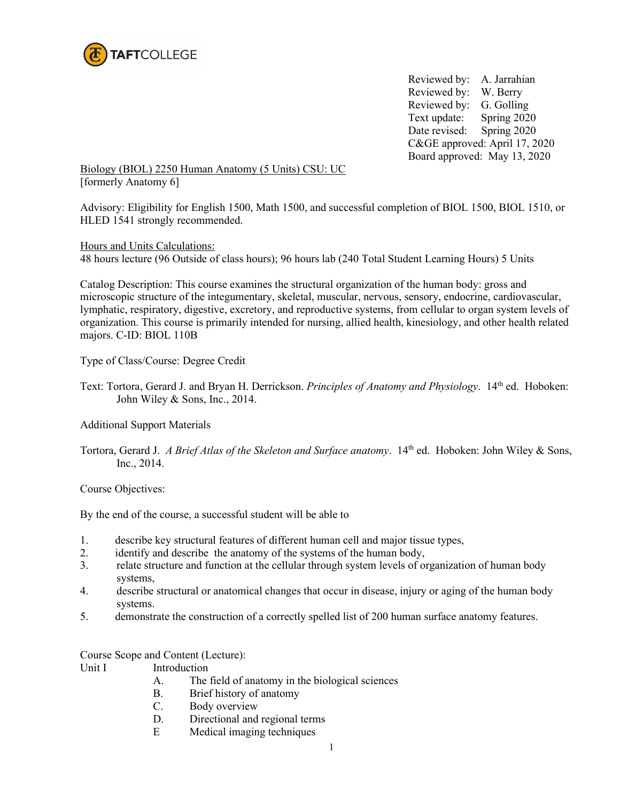

Reviewed by: A. Jarrahian Reviewed by: W. Berry Reviewed by: G. Golling Text update: Spring 2020 Date revised: Spring 2020 C&GE approved: April 17, 2020 Board approved: May 13, 2020

Biology (BIOL) 2250 Human Anatomy (5 Units) CSU: UC [formerly Anatomy 6]

Advisory: Eligibility for English 1500, Math 1500, and successful completion of BIOL 1500, BIOL 1510, or HLED 1541 strongly recommended.

Hours and Units Calculations:

48 hours lecture (96 Outside of class hours); 96 hours lab (240 Total Student Learning Hours) 5 Units

Catalog Description: This course examines the structural organization of the human body: gross and microscopic structure of the integumentary, skeletal, muscular, nervous, sensory, endocrine, cardiovascular, lymphatic, respiratory, digestive, excretory, and reproductive systems, from cellular to organ system levels of organization. This course is primarily intended for nursing, allied health, kinesiology, and other health related majors. C-ID: BIOL 110B

Type of Class/Course: Degree Credit

Text: Tortora, Gerard J. and Bryan H. Derrickson. *Principles of Anatomy and Physiology*. 14th ed. Hoboken: John Wiley & Sons, Inc., 2014.

Additional Support Materials

Tortora, Gerard J. *A Brief Atlas of the Skeleton and Surface anatomy*. 14<sup>th</sup> ed. Hoboken: John Wiley & Sons, Inc., 2014.

Course Objectives:

By the end of the course, a successful student will be able to

- 1. describe key structural features of different human cell and major tissue types,
- 2. identify and describe the anatomy of the systems of the human body,
- 3. relate structure and function at the cellular through system levels of organization of human body systems,
- 4. describe structural or anatomical changes that occur in disease, injury or aging of the human body systems.
- 5. demonstrate the construction of a correctly spelled list of 200 human surface anatomy features.

Course Scope and Content (Lecture):

- Unit I Introduction
	- A. The field of anatomy in the biological sciences
	- B. Brief history of anatomy
	- C. Body overview
	- D. Directional and regional terms
	- E Medical imaging techniques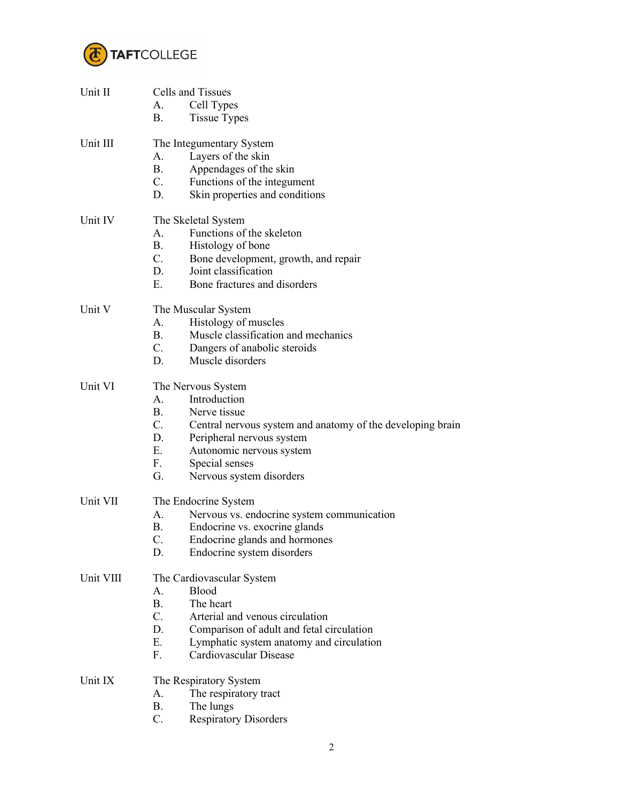

| Unit II   | Cells and Tissues<br>Cell Types<br>А.                                                |  |  |
|-----------|--------------------------------------------------------------------------------------|--|--|
|           | <b>B.</b><br><b>Tissue Types</b>                                                     |  |  |
| Unit III  | The Integumentary System                                                             |  |  |
|           | A.<br>Layers of the skin                                                             |  |  |
|           | <b>B.</b><br>Appendages of the skin                                                  |  |  |
|           | $C_{\cdot}$<br>Functions of the integument                                           |  |  |
|           | D.<br>Skin properties and conditions                                                 |  |  |
| Unit IV   | The Skeletal System                                                                  |  |  |
|           | Functions of the skeleton<br>A.                                                      |  |  |
|           | <b>B.</b><br>Histology of bone                                                       |  |  |
|           | C.<br>Bone development, growth, and repair                                           |  |  |
|           | D.<br>Joint classification                                                           |  |  |
|           | Ε.<br>Bone fractures and disorders                                                   |  |  |
| Unit V    | The Muscular System                                                                  |  |  |
|           | Histology of muscles<br>А.                                                           |  |  |
|           | <b>B.</b><br>Muscle classification and mechanics                                     |  |  |
|           | C.<br>Dangers of anabolic steroids<br>D.<br>Muscle disorders                         |  |  |
|           |                                                                                      |  |  |
| Unit VI   | The Nervous System                                                                   |  |  |
|           | Introduction<br>A.                                                                   |  |  |
|           | <b>B.</b><br>Nerve tissue                                                            |  |  |
|           | C.<br>Central nervous system and anatomy of the developing brain                     |  |  |
|           | D.<br>Peripheral nervous system                                                      |  |  |
|           | $E_{\cdot}$<br>Autonomic nervous system<br>F.                                        |  |  |
|           | Special senses<br>G.<br>Nervous system disorders                                     |  |  |
|           |                                                                                      |  |  |
| Unit VII  | The Endocrine System                                                                 |  |  |
|           | Nervous vs. endocrine system communication<br>А.                                     |  |  |
|           | В.<br>Endocrine vs. exocrine glands                                                  |  |  |
|           | C.<br>Endocrine glands and hormones                                                  |  |  |
|           | D.<br>Endocrine system disorders                                                     |  |  |
| Unit VIII | The Cardiovascular System                                                            |  |  |
|           | Blood<br>A.                                                                          |  |  |
|           | <b>B.</b><br>The heart                                                               |  |  |
|           | $C_{\cdot}$<br>Arterial and venous circulation                                       |  |  |
|           | D.<br>Comparison of adult and fetal circulation<br>E.                                |  |  |
|           | Lymphatic system anatomy and circulation<br>F <sub>r</sub><br>Cardiovascular Disease |  |  |
|           |                                                                                      |  |  |
| Unit IX   | The Respiratory System<br>А.                                                         |  |  |
|           | The respiratory tract<br><b>B.</b><br>The lungs                                      |  |  |
|           | C.<br><b>Respiratory Disorders</b>                                                   |  |  |
|           |                                                                                      |  |  |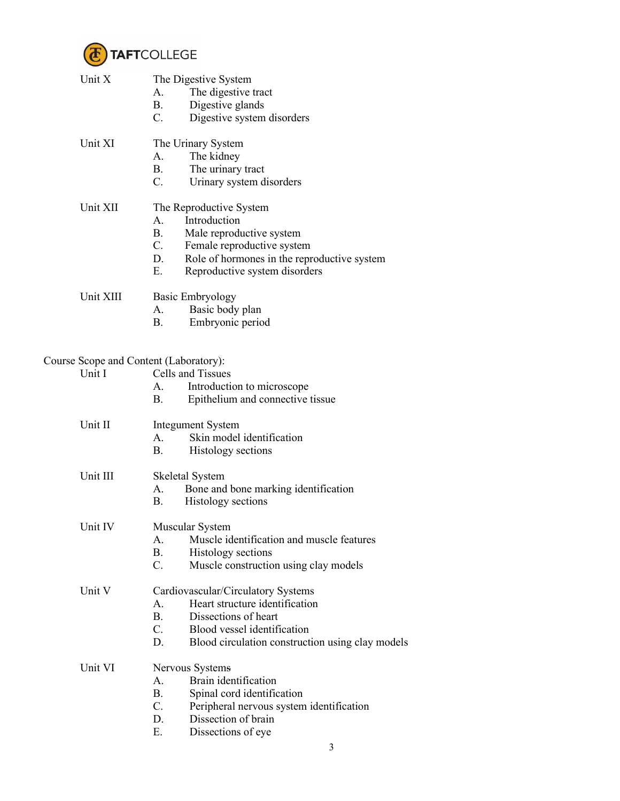

| Unit X    | The Digestive System<br>The digestive tract<br>A.<br>Digestive glands<br><b>B.</b><br>$C_{\cdot}$<br>Digestive system disorders                                                                                         |
|-----------|-------------------------------------------------------------------------------------------------------------------------------------------------------------------------------------------------------------------------|
| Unit XI   | The Urinary System<br>A.<br>The kidney<br>The urinary tract<br>$\mathbf{B}$ .<br>$C_{\cdot}$<br>Urinary system disorders                                                                                                |
| Unit XII  | The Reproductive System<br>Introduction<br>A.<br><b>B.</b><br>Male reproductive system<br>C.<br>Female reproductive system<br>D.<br>Role of hormones in the reproductive system<br>E.<br>Reproductive system disorders  |
| Unit XIII | <b>Basic Embryology</b><br>Basic body plan<br>A.<br><b>B.</b><br>Embryonic period                                                                                                                                       |
|           | Course Scope and Content (Laboratory):                                                                                                                                                                                  |
| Unit I    | Cells and Tissues                                                                                                                                                                                                       |
|           | Introduction to microscope<br>A.<br><b>B.</b><br>Epithelium and connective tissue                                                                                                                                       |
| Unit II   | <b>Integument System</b><br>Skin model identification<br>A.<br>B.<br>Histology sections                                                                                                                                 |
| Unit III  | Skeletal System<br>Bone and bone marking identification<br>А.<br>Histology sections<br>В.                                                                                                                               |
| Unit IV   | Muscular System<br>A.<br>Muscle identification and muscle features<br><b>B.</b><br>Histology sections<br>C.<br>Muscle construction using clay models                                                                    |
| Unit V    | Cardiovascular/Circulatory Systems<br>Heart structure identification<br>A.<br><b>B.</b><br>Dissections of heart<br>$C_{\cdot}$<br>Blood vessel identification<br>D.<br>Blood circulation construction using clay models |
| Unit VI   | Nervous Systems<br>Brain identification<br>A.<br><b>B.</b><br>Spinal cord identification<br>$C_{\cdot}$<br>Peripheral nervous system identification<br>Dissection of brain<br>D.<br>Ε.<br>Dissections of eye<br>3       |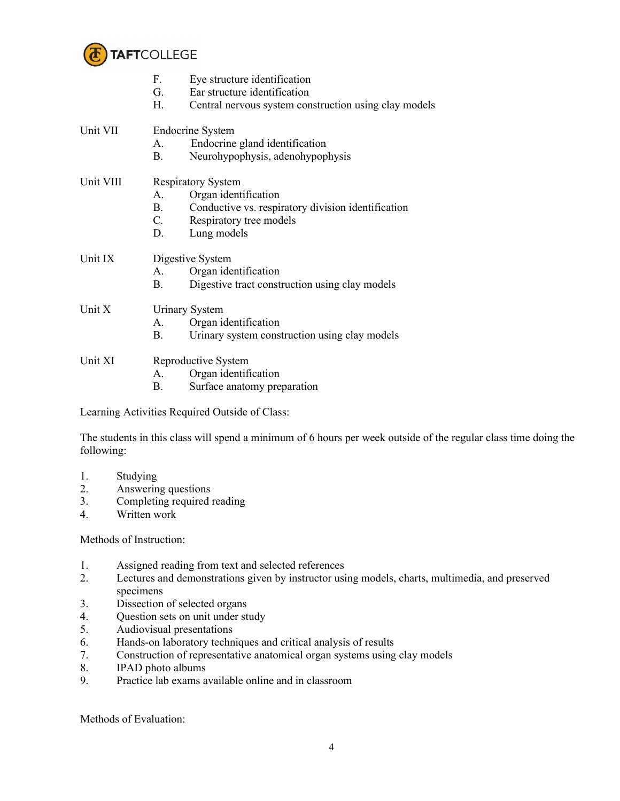

|           | F.<br>Eye structure identification                              |  |  |
|-----------|-----------------------------------------------------------------|--|--|
|           | G.<br>Ear structure identification                              |  |  |
|           | H.<br>Central nervous system construction using clay models     |  |  |
| Unit VII  | <b>Endocrine System</b>                                         |  |  |
|           | Endocrine gland identification<br>A.                            |  |  |
|           | В.<br>Neurohypophysis, adenohypophysis                          |  |  |
| Unit VIII | <b>Respiratory System</b>                                       |  |  |
|           | Organ identification<br>A.                                      |  |  |
|           | <b>B.</b><br>Conductive vs. respiratory division identification |  |  |
|           | C.<br>Respiratory tree models                                   |  |  |
|           | D.<br>Lung models                                               |  |  |
| Unit IX   | Digestive System                                                |  |  |
|           | Organ identification<br>A.                                      |  |  |
|           | Digestive tract construction using clay models<br>В.            |  |  |
| Unit X    | <b>Urinary System</b>                                           |  |  |
|           | Organ identification<br>A.                                      |  |  |
|           | Urinary system construction using clay models<br>В.             |  |  |
| Unit XI   | Reproductive System                                             |  |  |
|           | Organ identification<br>A.                                      |  |  |
|           | Β.<br>Surface anatomy preparation                               |  |  |
|           |                                                                 |  |  |

Learning Activities Required Outside of Class:

The students in this class will spend a minimum of 6 hours per week outside of the regular class time doing the following:

- 1. Studying
- 2. Answering questions
- 3. Completing required reading
- 4. Written work

Methods of Instruction:

- 1. Assigned reading from text and selected references
- 2. Lectures and demonstrations given by instructor using models, charts, multimedia, and preserved specimens
- 3. Dissection of selected organs
- 4. Question sets on unit under study<br>5. Audiovisual presentations
- 5. Audiovisual presentations
- 6. Hands-on laboratory techniques and critical analysis of results
- 7. Construction of representative anatomical organ systems using clay models
- 8. IPAD photo albums<br>9. Practice lab exams a
- Practice lab exams available online and in classroom

Methods of Evaluation: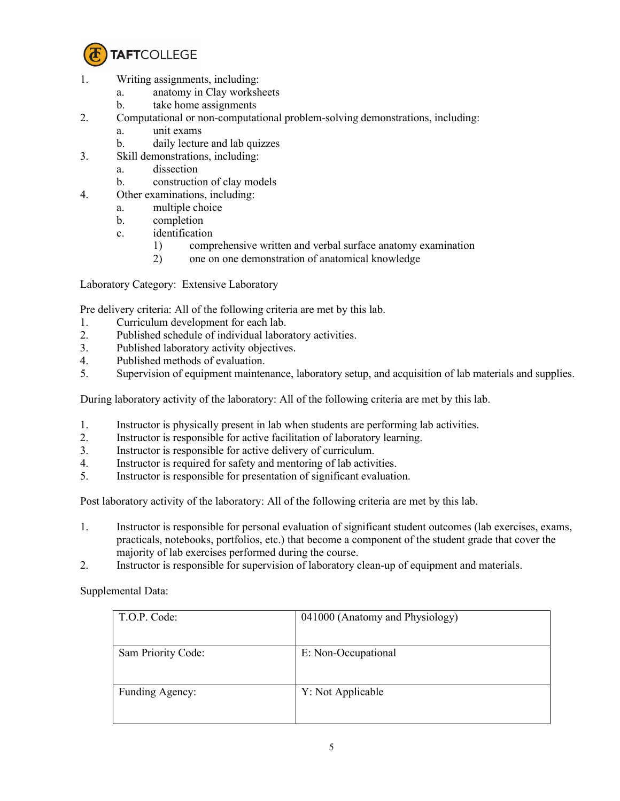

- 1. Writing assignments, including:
	- a. anatomy in Clay worksheets
	- b. take home assignments
- 2. Computational or non-computational problem-solving demonstrations, including:
	- a. unit exams
	- b. daily lecture and lab quizzes
- 3. Skill demonstrations, including:
	- a. dissection
	- b. construction of clay models
- 4. Other examinations, including:
	- a. multiple choice
	- b. completion
	- c. identification
		- 1) comprehensive written and verbal surface anatomy examination
		- 2) one on one demonstration of anatomical knowledge

Laboratory Category: Extensive Laboratory

Pre delivery criteria: All of the following criteria are met by this lab.

- 1. Curriculum development for each lab.
- 2. Published schedule of individual laboratory activities.
- 3. Published laboratory activity objectives.
- 4. Published methods of evaluation.<br>5. Supervision of equipment mainter
- 5. Supervision of equipment maintenance, laboratory setup, and acquisition of lab materials and supplies.

During laboratory activity of the laboratory: All of the following criteria are met by this lab.

- 1. Instructor is physically present in lab when students are performing lab activities.
- 2. Instructor is responsible for active facilitation of laboratory learning.
- 3. Instructor is responsible for active delivery of curriculum.
- 4. Instructor is required for safety and mentoring of lab activities.
- 5. Instructor is responsible for presentation of significant evaluation.

Post laboratory activity of the laboratory: All of the following criteria are met by this lab.

- 1. Instructor is responsible for personal evaluation of significant student outcomes (lab exercises, exams, practicals, notebooks, portfolios, etc.) that become a component of the student grade that cover the majority of lab exercises performed during the course.
- 2. Instructor is responsible for supervision of laboratory clean-up of equipment and materials.

Supplemental Data:

| T.O.P. Code:       | 041000 (Anatomy and Physiology) |
|--------------------|---------------------------------|
| Sam Priority Code: | E: Non-Occupational             |
| Funding Agency:    | Y: Not Applicable               |